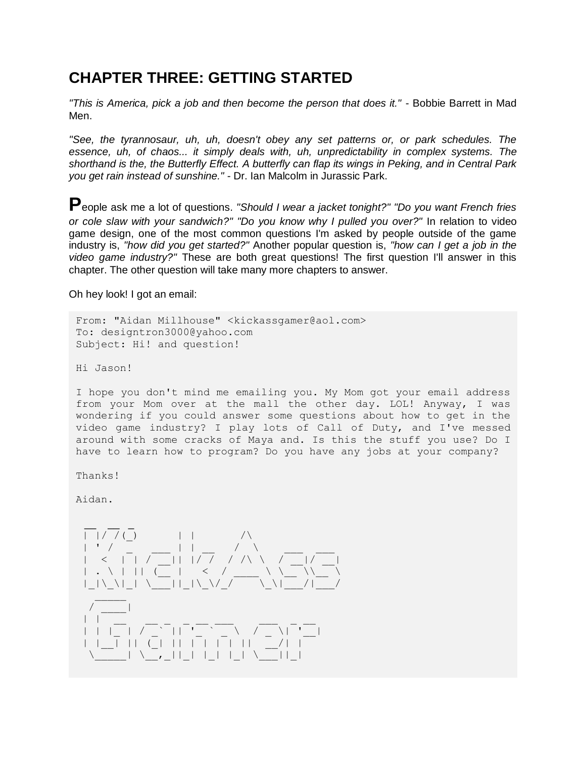## **CHAPTER THREE: GETTING STARTED**

*"This is America, pick a job and then become the person that does it."* - Bobbie Barrett in Mad Men.

"See, the tyrannosaur, uh, uh, doesn't obey any set patterns or, or park schedules. The *essence, uh, of chaos... it simply deals with, uh, unpredictability in complex systems. The shorthand is the, the Butterfly Effect. A butterfly can flap its wings in Peking, and in Central Park you get rain instead of sunshine."* - Dr. Ian Malcolm in Jurassic Park.

**P**eople ask me a lot of questions. *"Should I wear a jacket tonight?" "Do you want French fries or cole slaw with your sandwich?" "Do you know why I pulled you over?"* In relation to video game design, one of the most common questions I'm asked by people outside of the game industry is, *"how did you get started?"* Another popular question is, *"how can I get a job in the video game industry?"* These are both great questions! The first question I'll answer in this chapter. The other question will take many more chapters to answer.

Oh hey look! I got an email:

From: "Aidan Millhouse" <kickassgamer@aol.com> To: designtron3000@yahoo.com Subject: Hi! and question!

Hi Jason!

I hope you don't mind me emailing you. My Mom got your email address from your Mom over at the mall the other day. LOL! Anyway, I was wondering if you could answer some questions about how to get in the video game industry? I play lots of Call of Duty, and I've messed around with some cracks of Maya and. Is this the stuff you use? Do I have to learn how to program? Do you have any jobs at your company?

Thanks!

Aidan.

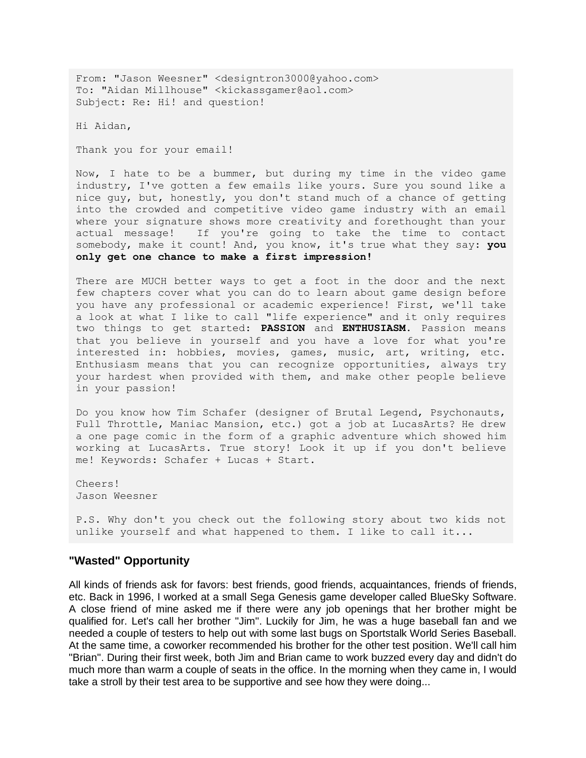From: "Jason Weesner" <designtron3000@yahoo.com> To: "Aidan Millhouse" <kickassgamer@aol.com> Subject: Re: Hi! and question!

Hi Aidan,

Thank you for your email!

Now, I hate to be a bummer, but during my time in the video game industry, I've gotten a few emails like yours. Sure you sound like a nice guy, but, honestly, you don't stand much of a chance of getting into the crowded and competitive video game industry with an email where your signature shows more creativity and forethought than your actual message! If you're going to take the time to contact somebody, make it count! And, you know, it's true what they say: **you only get one chance to make a first impression!**

There are MUCH better ways to get a foot in the door and the next few chapters cover what you can do to learn about game design before you have any professional or academic experience! First, we'll take a look at what I like to call "life experience" and it only requires two things to get started: **PASSION** and **ENTHUSIASM**. Passion means that you believe in yourself and you have a love for what you're interested in: hobbies, movies, games, music, art, writing, etc. Enthusiasm means that you can recognize opportunities, always try your hardest when provided with them, and make other people believe in your passion!

Do you know how Tim Schafer (designer of Brutal Legend, Psychonauts, Full Throttle, Maniac Mansion, etc.) got a job at LucasArts? He drew a one page comic in the form of a graphic adventure which showed him working at LucasArts. True story! Look it up if you don't believe me! Keywords: Schafer + Lucas + Start.

Cheers! Jason Weesner

P.S. Why don't you check out the following story about two kids not unlike yourself and what happened to them. I like to call it...

## **"Wasted" Opportunity**

All kinds of friends ask for favors: best friends, good friends, acquaintances, friends of friends, etc. Back in 1996, I worked at a small Sega Genesis game developer called BlueSky Software. A close friend of mine asked me if there were any job openings that her brother might be qualified for. Let's call her brother "Jim". Luckily for Jim, he was a huge baseball fan and we needed a couple of testers to help out with some last bugs on Sportstalk World Series Baseball. At the same time, a coworker recommended his brother for the other test position. We'll call him "Brian". During their first week, both Jim and Brian came to work buzzed every day and didn't do much more than warm a couple of seats in the office. In the morning when they came in, I would take a stroll by their test area to be supportive and see how they were doing...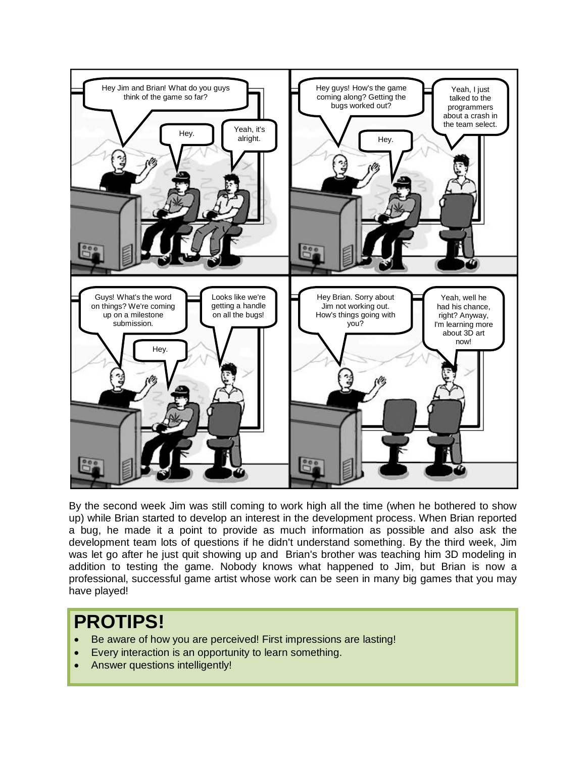

By the second week Jim was still coming to work high all the time (when he bothered to show up) while Brian started to develop an interest in the development process. When Brian reported a bug, he made it a point to provide as much information as possible and also ask the development team lots of questions if he didn't understand something. By the third week, Jim was let go after he just quit showing up and Brian's brother was teaching him 3D modeling in addition to testing the game. Nobody knows what happened to Jim, but Brian is now a professional, successful game artist whose work can be seen in many big games that you may have played!

## **PROTIPS!**

- Be aware of how you are perceived! First impressions are lasting!
- Every interaction is an opportunity to learn something.
- Answer questions intelligently!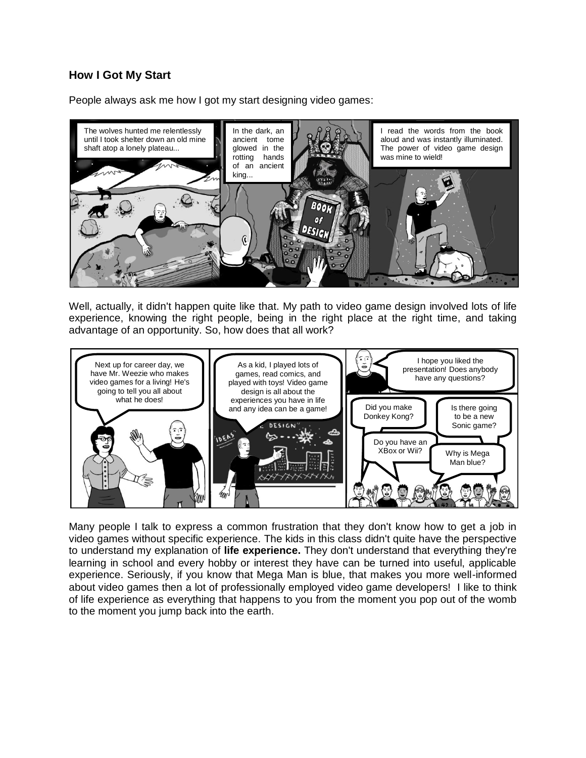## **How I Got My Start**

People always ask me how I got my start designing video games:



Well, actually, it didn't happen quite like that. My path to video game design involved lots of life experience, knowing the right people, being in the right place at the right time, and taking advantage of an opportunity. So, how does that all work?



Many people I talk to express a common frustration that they don't know how to get a job in video games without specific experience. The kids in this class didn't quite have the perspective to understand my explanation of **life experience.** They don't understand that everything they're learning in school and every hobby or interest they have can be turned into useful, applicable experience. Seriously, if you know that Mega Man is blue, that makes you more well-informed about video games then a lot of professionally employed video game developers! I like to think of life experience as everything that happens to you from the moment you pop out of the womb to the moment you jump back into the earth.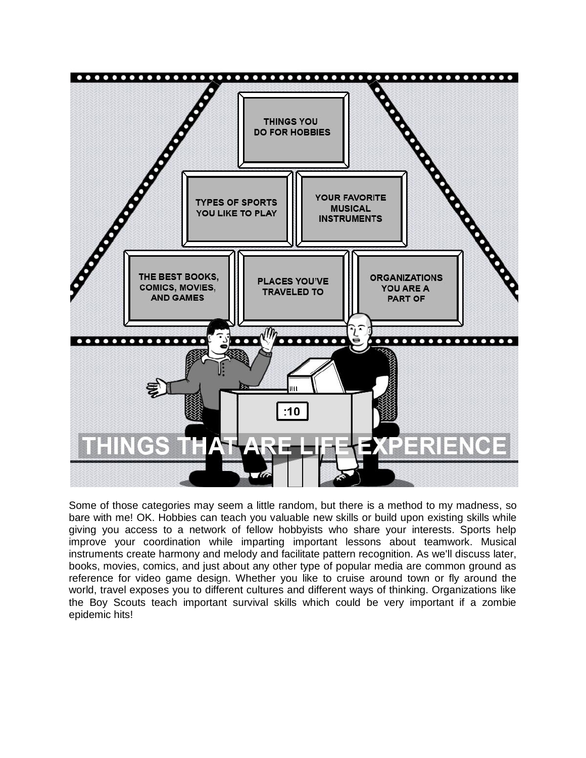

Some of those categories may seem a little random, but there is a method to my madness, so bare with me! OK. Hobbies can teach you valuable new skills or build upon existing skills while giving you access to a network of fellow hobbyists who share your interests. Sports help improve your coordination while imparting important lessons about teamwork. Musical instruments create harmony and melody and facilitate pattern recognition. As we'll discuss later, books, movies, comics, and just about any other type of popular media are common ground as reference for video game design. Whether you like to cruise around town or fly around the world, travel exposes you to different cultures and different ways of thinking. Organizations like the Boy Scouts teach important survival skills which could be very important if a zombie epidemic hits!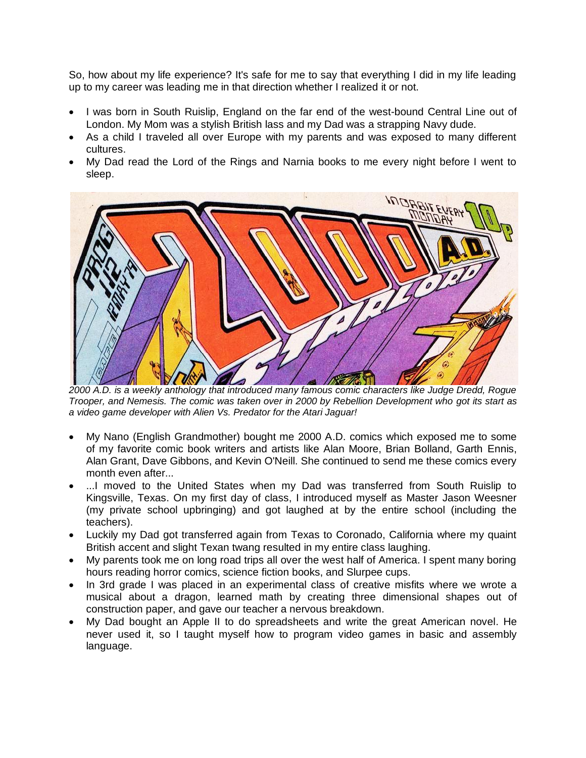So, how about my life experience? It's safe for me to say that everything I did in my life leading up to my career was leading me in that direction whether I realized it or not.

- I was born in South Ruislip, England on the far end of the west-bound Central Line out of London. My Mom was a stylish British lass and my Dad was a strapping Navy dude.
- As a child I traveled all over Europe with my parents and was exposed to many different cultures.
- My Dad read the Lord of the Rings and Narnia books to me every night before I went to sleep.



*2000 A.D. is a weekly anthology that introduced many famous comic characters like Judge Dredd, Rogue Trooper, and Nemesis. The comic was taken over in 2000 by Rebellion Development who got its start as a video game developer with Alien Vs. Predator for the Atari Jaguar!*

- My Nano (English Grandmother) bought me 2000 A.D. comics which exposed me to some of my favorite comic book writers and artists like Alan Moore, Brian Bolland, Garth Ennis, Alan Grant, Dave Gibbons, and Kevin O'Neill. She continued to send me these comics every month even after...
- ...I moved to the United States when my Dad was transferred from South Ruislip to Kingsville, Texas. On my first day of class, I introduced myself as Master Jason Weesner (my private school upbringing) and got laughed at by the entire school (including the teachers).
- Luckily my Dad got transferred again from Texas to Coronado, California where my quaint British accent and slight Texan twang resulted in my entire class laughing.
- My parents took me on long road trips all over the west half of America. I spent many boring hours reading horror comics, science fiction books, and Slurpee cups.
- In 3rd grade I was placed in an experimental class of creative misfits where we wrote a musical about a dragon, learned math by creating three dimensional shapes out of construction paper, and gave our teacher a nervous breakdown.
- My Dad bought an Apple II to do spreadsheets and write the great American novel. He never used it, so I taught myself how to program video games in basic and assembly language.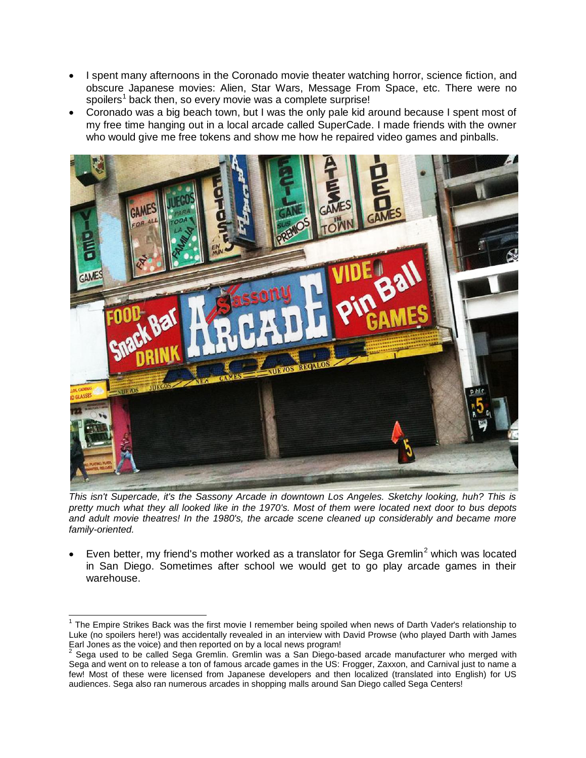- I spent many afternoons in the Coronado movie theater watching horror, science fiction, and obscure Japanese movies: Alien, Star Wars, Message From Space, etc. There were no spoilers<sup>1</sup> back then, so every movie was a complete surprise!
- Coronado was a big beach town, but I was the only pale kid around because I spent most of my free time hanging out in a local arcade called SuperCade. I made friends with the owner who would give me free tokens and show me how he repaired video games and pinballs.



*This isn't Supercade, it's the Sassony Arcade in downtown Los Angeles. Sketchy looking, huh? This is pretty much what they all looked like in the 1970's. Most of them were located next door to bus depots and adult movie theatres! In the 1980's, the arcade scene cleaned up considerably and became more family-oriented.*

Even better, my friend's mother worked as a translator for Sega Gremlin<sup>2</sup> which was located in San Diego. Sometimes after school we would get to go play arcade games in their warehouse.

j

<sup>1</sup> The Empire Strikes Back was the first movie I remember being spoiled when news of Darth Vader's relationship to Luke (no spoilers here!) was accidentally revealed in an interview with David Prowse (who played Darth with James Earl Jones as the voice) and then reported on by a local news program!<br><sup>2</sup> Sega used to be called Sega Gremlin. Gremlin was a San Diego-based arcade manufacturer who merged with

Sega and went on to release a ton of famous arcade games in the US: Frogger, Zaxxon, and Carnival just to name a few! Most of these were licensed from Japanese developers and then localized (translated into English) for US audiences. Sega also ran numerous arcades in shopping malls around San Diego called Sega Centers!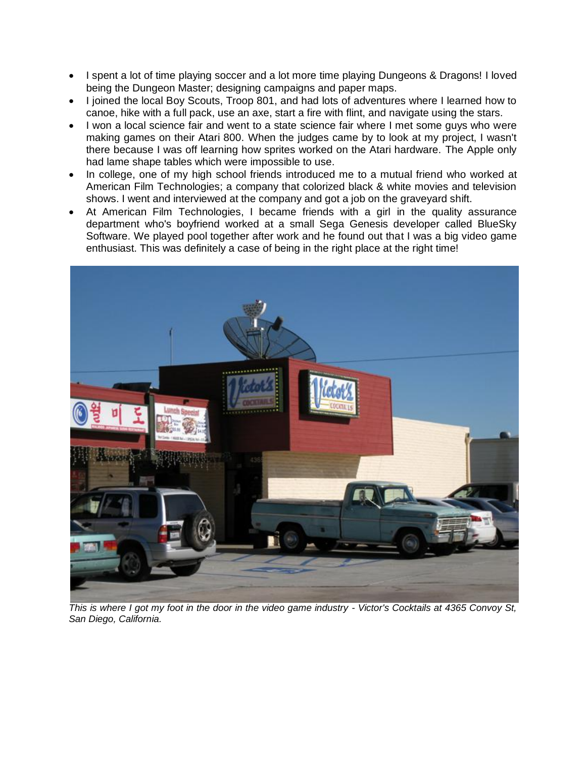- I spent a lot of time playing soccer and a lot more time playing Dungeons & Dragons! I loved being the Dungeon Master; designing campaigns and paper maps.
- I joined the local Boy Scouts, Troop 801, and had lots of adventures where I learned how to canoe, hike with a full pack, use an axe, start a fire with flint, and navigate using the stars.
- I won a local science fair and went to a state science fair where I met some guys who were making games on their Atari 800. When the judges came by to look at my project, I wasn't there because I was off learning how sprites worked on the Atari hardware. The Apple only had lame shape tables which were impossible to use.
- In college, one of my high school friends introduced me to a mutual friend who worked at American Film Technologies; a company that colorized black & white movies and television shows. I went and interviewed at the company and got a job on the graveyard shift.
- At American Film Technologies, I became friends with a girl in the quality assurance department who's boyfriend worked at a small Sega Genesis developer called BlueSky Software. We played pool together after work and he found out that I was a big video game enthusiast. This was definitely a case of being in the right place at the right time!



*This is where I got my foot in the door in the video game industry - Victor's Cocktails at 4365 Convoy St, San Diego, California.*